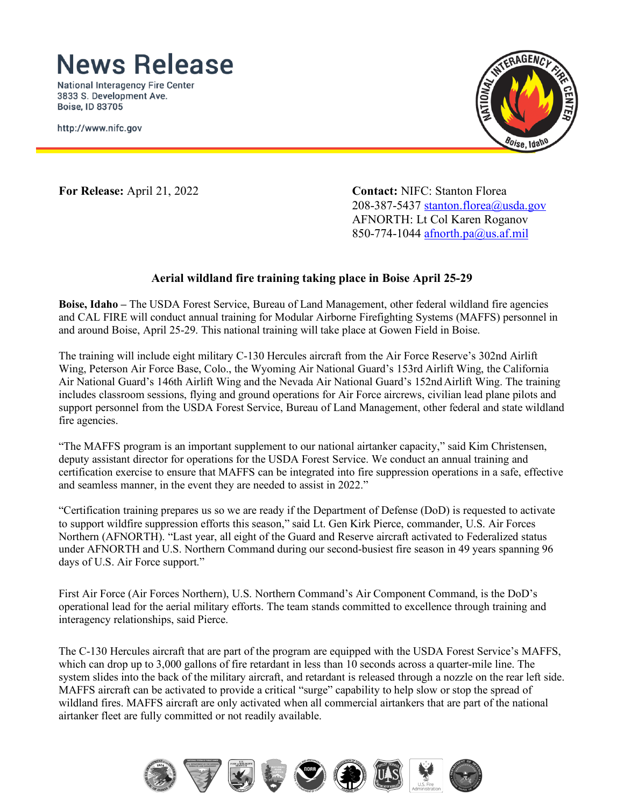## **News Release**

**National Interagency Fire Center** 3833 S. Development Ave. Boise, ID 83705

http://www.nifc.gov



**For Release:** April 21, 2022 **Contact:** NIFC: Stanton Florea 208-387-5437 [stanton.florea@usda.gov](mailto:stanton.florea@usda.gov) AFNORTH: Lt Col Karen Roganov 850-774-1044 [afnorth.pa@us.af.mil](mailto:afnorth.pa@us.af.mil)

## **Aerial wildland fire training taking place in Boise April 25-29**

**Boise, Idaho –** The USDA Forest Service, Bureau of Land Management, other federal wildland fire agencies and CAL FIRE will conduct annual training for Modular Airborne Firefighting Systems (MAFFS) personnel in and around Boise, April 25-29. This national training will take place at Gowen Field in Boise.

The training will include eight military C-130 Hercules aircraft from the Air Force Reserve's 302nd Airlift Wing, Peterson Air Force Base, Colo., the Wyoming Air National Guard's 153rd Airlift Wing, the California Air National Guard's 146th Airlift Wing and the Nevada Air National Guard's 152nd Airlift Wing. The training includes classroom sessions, flying and ground operations for Air Force aircrews, civilian lead plane pilots and support personnel from the USDA Forest Service, Bureau of Land Management, other federal and state wildland fire agencies.

"The MAFFS program is an important supplement to our national airtanker capacity," said Kim Christensen, deputy assistant director for operations for the USDA Forest Service. We conduct an annual training and certification exercise to ensure that MAFFS can be integrated into fire suppression operations in a safe, effective and seamless manner, in the event they are needed to assist in 2022."

"Certification training prepares us so we are ready if the Department of Defense (DoD) is requested to activate to support wildfire suppression efforts this season," said Lt. Gen Kirk Pierce, commander, U.S. Air Forces Northern (AFNORTH). "Last year, all eight of the Guard and Reserve aircraft activated to Federalized status under AFNORTH and U.S. Northern Command during our second-busiest fire season in 49 years spanning 96 days of U.S. Air Force support."

First Air Force (Air Forces Northern), U.S. Northern Command's Air Component Command, is the DoD's operational lead for the aerial military efforts. The team stands committed to excellence through training and interagency relationships, said Pierce.

The C-130 Hercules aircraft that are part of the program are equipped with the USDA Forest Service's MAFFS, which can drop up to 3,000 gallons of fire retardant in less than 10 seconds across a quarter-mile line. The system slides into the back of the military aircraft, and retardant is released through a nozzle on the rear left side. MAFFS aircraft can be activated to provide a critical "surge" capability to help slow or stop the spread of wildland fires. MAFFS aircraft are only activated when all commercial airtankers that are part of the national airtanker fleet are fully committed or not readily available.